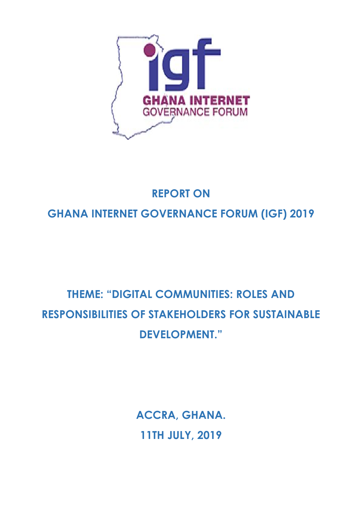

# **REPORT ON GHANA INTERNET GOVERNANCE FORUM (IGF) 2019**

# **THEME: "DIGITAL COMMUNITIES: ROLES AND RESPONSIBILITIES OF STAKEHOLDERS FOR SUSTAINABLE DEVELOPMENT."**

**ACCRA, GHANA. 11TH JULY, 2019**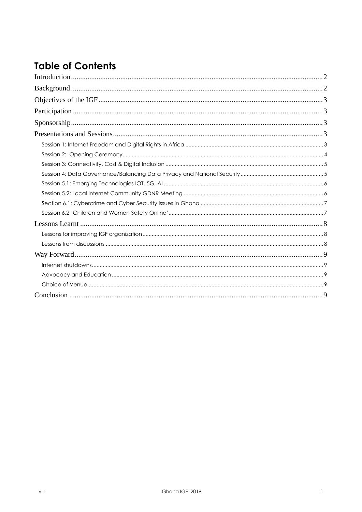# **Table of Contents**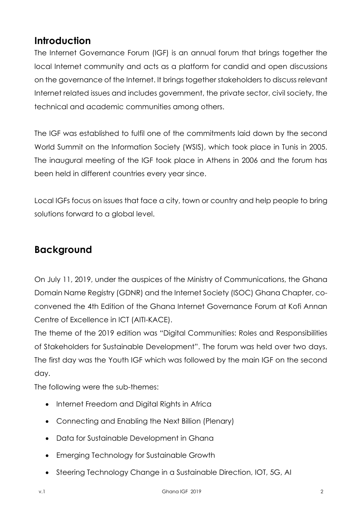# <span id="page-2-0"></span>**Introduction**

The Internet Governance Forum (IGF) is an annual forum that brings together the local Internet community and acts as a platform for candid and open discussions on the governance of the Internet. It brings together stakeholders to discuss relevant Internet related issues and includes government, the private sector, civil society, the technical and academic communities among others.

The IGF was established to fulfil one of the commitments laid down by the second World Summit on the Information Society (WSIS), which took place in Tunis in 2005. The inaugural meeting of the IGF took place in Athens in 2006 and the forum has been held in different countries every year since.

Local IGFs focus on issues that face a city, town or country and help people to bring solutions forward to a global level.

# <span id="page-2-1"></span>**Background**

On July 11, 2019, under the auspices of the Ministry of Communications, the Ghana Domain Name Registry (GDNR) and the Internet Society (ISOC) Ghana Chapter, coconvened the 4th Edition of the Ghana Internet Governance Forum at Kofi Annan Centre of Excellence in ICT (AITI-KACE).

The theme of the 2019 edition was "Digital Communities: Roles and Responsibilities of Stakeholders for Sustainable Development". The forum was held over two days. The first day was the Youth IGF which was followed by the main IGF on the second day.

The following were the sub-themes:

- Internet Freedom and Digital Rights in Africa
- Connecting and Enabling the Next Billion (Plenary)
- Data for Sustainable Development in Ghana
- Emerging Technology for Sustainable Growth
- Steering Technology Change in a Sustainable Direction, IOT, 5G, AI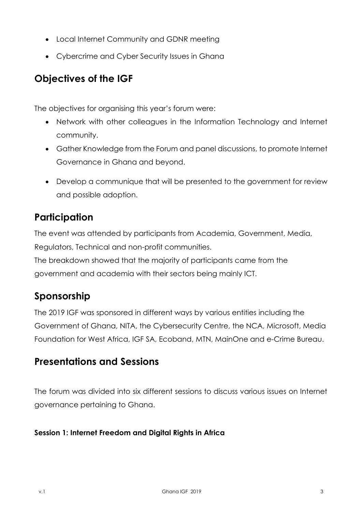- Local Internet Community and GDNR meeting
- Cybercrime and Cyber Security Issues in Ghana

# <span id="page-3-0"></span>**Objectives of the IGF**

The objectives for organising this year's forum were:

- Network with other colleagues in the Information Technology and Internet community.
- Gather Knowledge from the Forum and panel discussions, to promote Internet Governance in Ghana and beyond.
- Develop a communique that will be presented to the government for review and possible adoption.

# <span id="page-3-1"></span>**Participation**

The event was attended by participants from Academia, Government, Media, Regulators, Technical and non-profit communities.

The breakdown showed that the majority of participants came from the government and academia with their sectors being mainly ICT.

# <span id="page-3-2"></span>**Sponsorship**

The 2019 IGF was sponsored in different ways by various entities including the Government of Ghana, NITA, the Cybersecurity Centre, the NCA, Microsoft, Media Foundation for West Africa, IGF SA, Ecoband, MTN, MainOne and e-Crime Bureau.

## <span id="page-3-3"></span>**Presentations and Sessions**

The forum was divided into six different sessions to discuss various issues on Internet governance pertaining to Ghana.

#### <span id="page-3-4"></span>**Session 1: Internet Freedom and Digital Rights in Africa**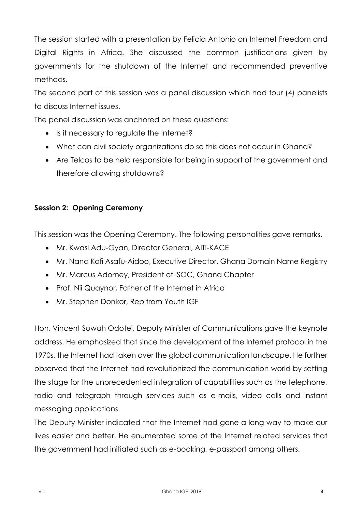The session started with a presentation by Felicia Antonio on Internet Freedom and Digital Rights in Africa. She discussed the common justifications given by governments for the shutdown of the Internet and recommended preventive methods.

The second part of this session was a panel discussion which had four (4) panelists to discuss Internet issues.

The panel discussion was anchored on these questions:

- Is it necessary to regulate the Internet?
- What can civil society organizations do so this does not occur in Ghana?
- Are Telcos to be held responsible for being in support of the government and therefore allowing shutdowns?

#### <span id="page-4-0"></span>**Session 2: Opening Ceremony**

This session was the Opening Ceremony. The following personalities gave remarks.

- Mr. Kwasi Adu-Gyan, Director General, AITI-KACE
- Mr. Nana Kofi Asafu-Aidoo, Executive Director, Ghana Domain Name Registry
- Mr. Marcus Adomey, President of ISOC, Ghana Chapter
- Prof. Nii Quaynor, Father of the Internet in Africa
- Mr. Stephen Donkor, Rep from Youth IGF

Hon. Vincent Sowah Odotei, Deputy Minister of Communications gave the keynote address. He emphasized that since the development of the Internet protocol in the 1970s, the Internet had taken over the global communication landscape. He further observed that the Internet had revolutionized the communication world by setting the stage for the unprecedented integration of capabilities such as the telephone, radio and telegraph through services such as e-mails, video calls and instant messaging applications.

The Deputy Minister indicated that the Internet had gone a long way to make our lives easier and better. He enumerated some of the Internet related services that the government had initiated such as e-booking, e-passport among others.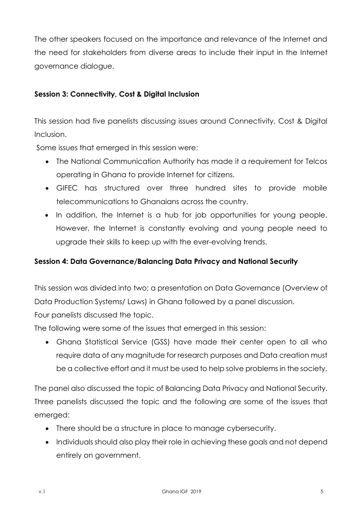The other speakers focused on the importance and relevance of the Internet and the need for stakeholders from diverse areas to include their input in the Internet governance dialogue.

#### <span id="page-5-0"></span>**Session 3: Connectivity, Cost & Digital Inclusion**

This session had five panelists discussing issues around Connectivity, Cost & Digital Inclusion.

Some issues that emerged in this session were:

- The National Communication Authority has made it a requirement for Telcos operating in Ghana to provide Internet for citizens.
- GIFEC has structured over three hundred sites to provide mobile telecommunications to Ghanaians across the country.
- In addition, the Internet is a hub for job opportunities for young people. However, the Internet is constantly evolving and young people need to upgrade their skills to keep up with the ever-evolving trends.

#### <span id="page-5-1"></span>**Session 4: Data Governance/Balancing Data Privacy and National Security**

This session was divided into two; a presentation on Data Governance (Overview of Data Production Systems/ Laws) in Ghana followed by a panel discussion.

Four panelists discussed the topic.

The following were some of the issues that emerged in this session:

• Ghana Statistical Service (GSS) have made their center open to all who require data of any magnitude for research purposes and Data creation must be a collective effort and it must be used to help solve problems in the society.

The panel also discussed the topic of Balancing Data Privacy and National Security. Three panelists discussed the topic and the following are some of the issues that emerged:

- There should be a structure in place to manage cybersecurity.
- Individuals should also play their role in achieving these goals and not depend entirely on government.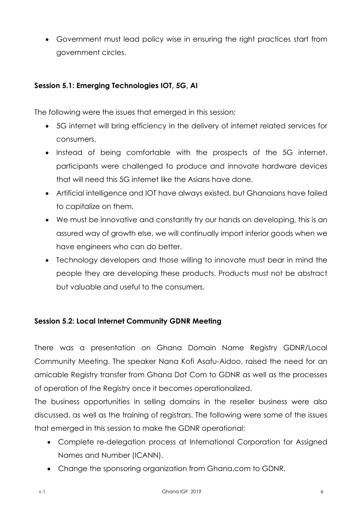• Government must lead policy wise in ensuring the right practices start from government circles.

#### <span id="page-6-0"></span>**Session 5.1: Emerging Technologies IOT, 5G, AI**

The following were the issues that emerged in this session;

- 5G internet will bring efficiency in the delivery of internet related services for consumers.
- Instead of being comfortable with the prospects of the 5G internet, participants were challenged to produce and innovate hardware devices that will need this 5G internet like the Asians have done.
- Artificial intelligence and IOT have always existed, but Ghanaians have failed to capitalize on them.
- We must be innovative and constantly try our hands on developing, this is an assured way of growth else, we will continually import inferior goods when we have engineers who can do better.
- Technology developers and those willing to innovate must bear in mind the people they are developing these products. Products must not be abstract but valuable and useful to the consumers.

#### <span id="page-6-1"></span>**Session 5.2: Local Internet Community GDNR Meeting**

There was a presentation on Ghana Domain Name Registry GDNR/Local Community Meeting. The speaker Nana Kofi Asafu-Aidoo, raised the need for an amicable Registry transfer from Ghana Dot Com to GDNR as well as the processes of operation of the Registry once it becomes operationalized.

The business opportunities in selling domains in the reseller business were also discussed, as well as the training of registrars. The following were some of the issues that emerged in this session to make the GDNR operational;

- Complete re-delegation process at International Corporation for Assigned Names and Number (ICANN).
- Change the sponsoring organization from Ghana.com to GDNR.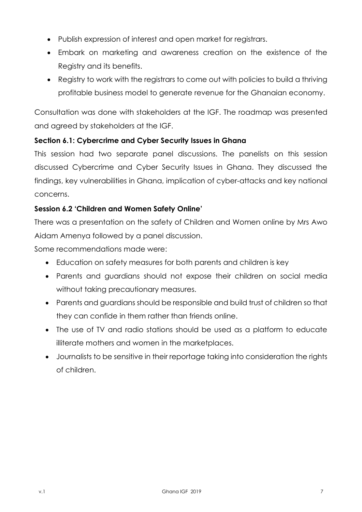- Publish expression of interest and open market for registrars.
- Embark on marketing and awareness creation on the existence of the Registry and its benefits.
- Registry to work with the registrars to come out with policies to build a thriving profitable business model to generate revenue for the Ghanaian economy.

Consultation was done with stakeholders at the IGF. The roadmap was presented and agreed by stakeholders at the IGF.

#### <span id="page-7-0"></span>**Section 6.1: Cybercrime and Cyber Security Issues in Ghana**

This session had two separate panel discussions. The panelists on this session discussed Cybercrime and Cyber Security Issues in Ghana. They discussed the findings, key vulnerabilities in Ghana, implication of cyber-attacks and key national concerns.

#### <span id="page-7-1"></span>**Session 6.2 'Children and Women Safety Online'**

There was a presentation on the safety of Children and Women online by Mrs Awo Aidam Amenya followed by a panel discussion.

Some recommendations made were:

- Education on safety measures for both parents and children is key
- Parents and guardians should not expose their children on social media without taking precautionary measures.
- Parents and guardians should be responsible and build trust of children so that they can confide in them rather than friends online.
- The use of TV and radio stations should be used as a platform to educate illiterate mothers and women in the marketplaces.
- Journalists to be sensitive in their reportage taking into consideration the rights of children.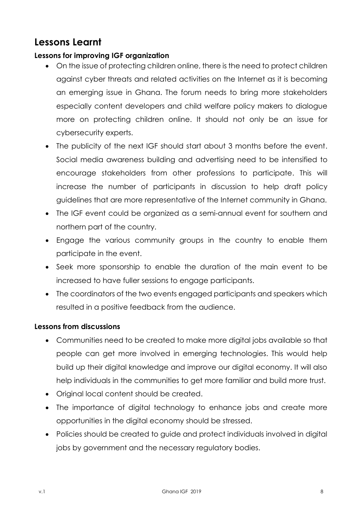# <span id="page-8-0"></span>**Lessons Learnt**

#### <span id="page-8-1"></span>**Lessons for improving IGF organization**

- On the issue of protecting children online, there is the need to protect children against cyber threats and related activities on the Internet as it is becoming an emerging issue in Ghana. The forum needs to bring more stakeholders especially content developers and child welfare policy makers to dialogue more on protecting children online. It should not only be an issue for cybersecurity experts.
- The publicity of the next IGF should start about 3 months before the event. Social media awareness building and advertising need to be intensified to encourage stakeholders from other professions to participate. This will increase the number of participants in discussion to help draft policy guidelines that are more representative of the Internet community in Ghana.
- The IGF event could be organized as a semi-annual event for southern and northern part of the country.
- Engage the various community groups in the country to enable them participate in the event.
- Seek more sponsorship to enable the duration of the main event to be increased to have fuller sessions to engage participants.
- The coordinators of the two events engaged participants and speakers which resulted in a positive feedback from the audience.

#### <span id="page-8-2"></span>**Lessons from discussions**

- Communities need to be created to make more digital jobs available so that people can get more involved in emerging technologies. This would help build up their digital knowledge and improve our digital economy. It will also help individuals in the communities to get more familiar and build more trust.
- Original local content should be created.
- The importance of digital technology to enhance jobs and create more opportunities in the digital economy should be stressed.
- Policies should be created to guide and protect individuals involved in digital jobs by government and the necessary regulatory bodies.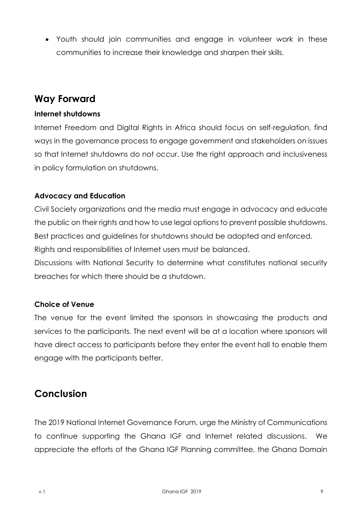• Youth should join communities and engage in volunteer work in these communities to increase their knowledge and sharpen their skills.

## <span id="page-9-0"></span>**Way Forward**

#### <span id="page-9-1"></span>**Internet shutdowns**

Internet Freedom and Digital Rights in Africa should focus on self-regulation, find ways in the governance process to engage government and stakeholders on issues so that Internet shutdowns do not occur. Use the right approach and inclusiveness in policy formulation on shutdowns.

#### <span id="page-9-2"></span>**Advocacy and Education**

Civil Society organizations and the media must engage in advocacy and educate the public on their rights and how to use legal options to prevent possible shutdowns. Best practices and guidelines for shutdowns should be adopted and enforced. Rights and responsibilities of Internet users must be balanced.

Discussions with National Security to determine what constitutes national security breaches for which there should be a shutdown.

#### <span id="page-9-3"></span>**Choice of Venue**

The venue for the event limited the sponsors in showcasing the products and services to the participants. The next event will be at a location where sponsors will have direct access to participants before they enter the event hall to enable them engage with the participants better.

### <span id="page-9-4"></span>**Conclusion**

The 2019 National Internet Governance Forum, urge the Ministry of Communications to continue supporting the Ghana IGF and Internet related discussions. We appreciate the efforts of the Ghana IGF Planning committee, the Ghana Domain